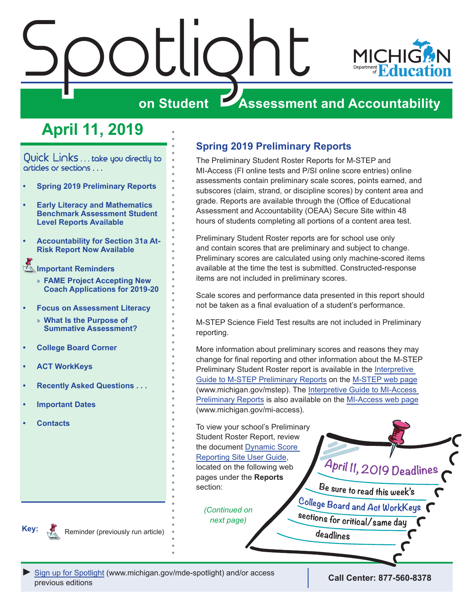# <span id="page-0-0"></span>Spotlight **MICHI**

## **on Student Assessment and Accountability**

## **April 11, 2019**

Quick Links ... take you directly to articles or sections . . .

- **• Spring 2019 Preliminary Reports**
- **• [Early Literacy and Mathematics](#page-1-0)  [Benchmark Assessment Student](#page-1-0)  [Level Reports Available](#page-1-0)**
- **• [Accountability for Section 31a At-](#page-1-0)[Risk Report Now Available](#page-1-0)**

Reminders **[Important Reminders](#page-3-0)**

- » **[FAME Project Accepting New](#page-3-0)  [Coach Applications for 2019-20](#page-3-0)**
- **• [Focus on Assessment Literacy](#page-4-0)**
- » **[What Is the Purpose of](#page-4-0)  [Summative Assessment?](#page-4-0)**
- **• [College Board Corner](#page-5-0)**
- **• [ACT WorkKeys](#page-6-0)**
- **• [Recently Asked Questions . . .](#page-8-0)**
- **• [Important Dates](#page-10-0)**
- **• [Contacts](#page-12-0)**

## **Spring 2019 Preliminary Reports**

The Preliminary Student Roster Reports for M-STEP and MI-Access (FI online tests and P/SI online score entries) online assessments contain preliminary scale scores, points earned, and subscores (claim, strand, or discipline scores) by content area and grade. Reports are available through the (Office of Educational Assessment and Accountability (OEAA) Secure Site within 48 hours of students completing all portions of a content area test.

Preliminary Student Roster reports are for school use only and contain scores that are preliminary and subject to change. Preliminary scores are calculated using only machine-scored items available at the time the test is submitted. Constructed-response items are not included in preliminary scores.

Scale scores and performance data presented in this report should not be taken as a final evaluation of a student's performance.

M-STEP Science Field Test results are not included in Preliminary reporting.

More information about preliminary scores and reasons they may change for final reporting and other information about the M-STEP Preliminary Student Roster report is available in the [Interpretive](https://www.michigan.gov/documents/mde/M-STEP_Preliminary_Report_Guide_jl_563764_7.pdf)  [Guide to M-STEP Preliminary Reports](https://www.michigan.gov/documents/mde/M-STEP_Preliminary_Report_Guide_jl_563764_7.pdf) on the [M-STEP web page](www.michigan.gov/mstep) (www.michigan.gov/mstep). The [Interpretive Guide to MI-Access](https://www.michigan.gov/documents/mde/MI-Access_Preliminary_Report_Guide_621661_7.pdf)  [Preliminary Reports](https://www.michigan.gov/documents/mde/MI-Access_Preliminary_Report_Guide_621661_7.pdf) is also available on the [MI-Access web page](https://www.michigan.gov/mi-access) (www.michigan.gov/mi-access).

To view your school's Preliminary Student Roster Report, review the document [Dynamic Score](https://www.michigan.gov/documents/mde/How_to_Navigate_Dynamic_Score_Reports_532306_7.pdf)  [Reporting Site User Guide](https://www.michigan.gov/documents/mde/How_to_Navigate_Dynamic_Score_Reports_532306_7.pdf), located on the following web pages under the **Reports**  section:

*(Continued on next page)*

April II, 2019 Deadlines

Be sure to read this week's College Board and Act WorkKeys sections for critical/same day

deadlines

**Key:** Reminders

Reminder (previously run article)

*►* [Sign up for Spotlight](https://public.govdelivery.com/accounts/MIMDE/subscriber/new) ([www.michigan.gov/mde-](www.michigan.gov/mde-spotlight)spotlight) and/or access previous editions **Call Center: 877-560-8378**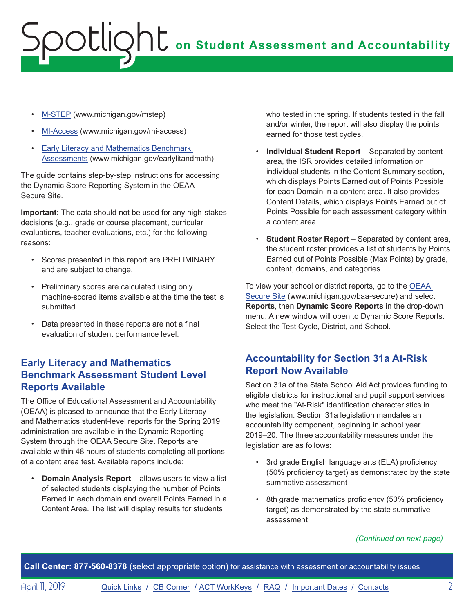- <span id="page-1-0"></span>• [M-STEP](www.michigan.gov/mstep) (www.michigan.gov/mstep)
- [MI-Access](http://www.michigan.gov/mi-access) (www.michigan.gov/mi-access)
- [Early Literacy and Mathematics Benchmark](www.michigan.gov/earlylitandmath)  [Assessments](www.michigan.gov/earlylitandmath) (www.michigan.gov/earlylitandmath)

The guide contains step-by-step instructions for accessing the Dynamic Score Reporting System in the OEAA Secure Site.

**Important:** The data should not be used for any high-stakes decisions (e.g., grade or course placement, curricular evaluations, teacher evaluations, etc.) for the following reasons:

- Scores presented in this report are PRELIMINARY and are subject to change.
- Preliminary scores are calculated using only machine-scored items available at the time the test is submitted.
- Data presented in these reports are not a final evaluation of student performance level.

## **Early Literacy and Mathematics Benchmark Assessment Student Level Reports Available**

The Office of Educational Assessment and Accountability (OEAA) is pleased to announce that the Early Literacy and Mathematics student-level reports for the Spring 2019 administration are available in the Dynamic Reporting System through the OEAA Secure Site. Reports are available within 48 hours of students completing all portions of a content area test. Available reports include:

• **Domain Analysis Report** – allows users to view a list of selected students displaying the number of Points Earned in each domain and overall Points Earned in a Content Area. The list will display results for students

who tested in the spring. If students tested in the fall and/or winter, the report will also display the points earned for those test cycles.

- **Individual Student Report** Separated by content area, the ISR provides detailed information on individual students in the Content Summary section, which displays Points Earned out of Points Possible for each Domain in a content area. It also provides Content Details, which displays Points Earned out of Points Possible for each assessment category within a content area.
- **Student Roster Report**  Separated by content area, the student roster provides a list of students by Points Earned out of Points Possible (Max Points) by grade, content, domains, and categories.

To view your school or district reports, go to the [OEAA](http://www.michigan.gov/oeaa-secure)  [Secure Site](http://www.michigan.gov/oeaa-secure) (www.michigan.gov/baa-secure) and select **Reports**, then **Dynamic Score Reports** in the drop-down menu. A new window will open to Dynamic Score Reports. Select the Test Cycle, District, and School.

## **Accountability for Section 31a At-Risk Report Now Available**

Section 31a of the State School Aid Act provides funding to eligible districts for instructional and pupil support services who meet the "At-Risk" identification characteristics in the legislation. Section 31a legislation mandates an accountability component, beginning in school year 2019–20. The three accountability measures under the legislation are as follows:

- 3rd grade English language arts (ELA) proficiency (50% proficiency target) as demonstrated by the state summative assessment
- 8th grade mathematics proficiency (50% proficiency target) as demonstrated by the state summative assessment

### *(Continued on next page)*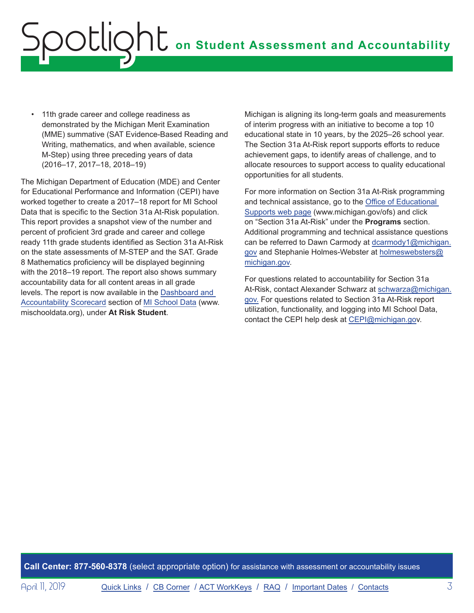• 11th grade career and college readiness as demonstrated by the Michigan Merit Examination (MME) summative (SAT Evidence-Based Reading and Writing, mathematics, and when available, science M-Step) using three preceding years of data (2016–17, 2017–18, 2018–19)

The Michigan Department of Education (MDE) and Center for Educational Performance and Information (CEPI) have worked together to create a 2017–18 report for MI School Data that is specific to the Section 31a At-Risk population. This report provides a snapshot view of the number and percent of proficient 3rd grade and career and college ready 11th grade students identified as Section 31a At-Risk on the state assessments of M-STEP and the SAT. Grade 8 Mathematics proficiency will be displayed beginning with the 2018–19 report. The report also shows summary accountability data for all content areas in all grade levels. The report is now available in the [Dashboard and](https://www.mischooldata.org/DistrictSchoolProfiles2/ReportCard/Section31a.aspx)  [Accountability Scorecard](https://www.mischooldata.org/DistrictSchoolProfiles2/ReportCard/Section31a.aspx) section of [MI School Data](https://www.mischooldata.org/) (www. mischooldata.org), under **At Risk Student**.

Michigan is aligning its long-term goals and measurements of interim progress with an initiative to become a top 10 educational state in 10 years, by the 2025–26 school year. The Section 31a At-Risk report supports efforts to reduce achievement gaps, to identify areas of challenge, and to allocate resources to support access to quality educational opportunities for all students.

For more information on Section 31a At-Risk programming and technical assistance, go to the [Office of Educational](http://www.michigan.gov/ofs)  [Supports web page](http://www.michigan.gov/ofs) (www.michigan.gov/ofs) and click on "Section 31a At-Risk" under the **Programs** section. Additional programming and technical assistance questions can be referred to Dawn Carmody at [dcarmody1@michigan.](mailto:dcarmody1%40michigan.gov?subject=) [gov](mailto:dcarmody1%40michigan.gov?subject=) and Stephanie Holmes-Webster at [holmeswebsters@](mailto:holmeswebsters%40michigan.gov?subject=) [michigan.gov](mailto:holmeswebsters%40michigan.gov?subject=).

For questions related to accountability for Section 31a At-Risk, contact Alexander Schwarz at [schwarza@michigan.](mailto:schwarza%40michigan.gov.?subject=) [gov.](mailto:schwarza%40michigan.gov.?subject=) For questions related to Section 31a At-Risk report utilization, functionality, and logging into MI School Data, contact the CEPI help desk at [CEPI@michigan.go](mailto:CEPI%40michigan.go?subject=)v.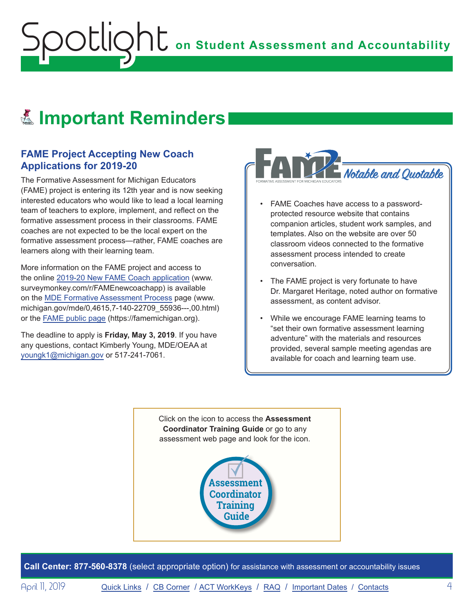## <span id="page-3-0"></span>Reminders **Important Reminders**

## **FAME Project Accepting New Coach Applications for 2019-20**

The Formative Assessment for Michigan Educators (FAME) project is entering its 12th year and is now seeking interested educators who would like to lead a local learning team of teachers to explore, implement, and reflect on the formative assessment process in their classrooms. FAME coaches are not expected to be the local expert on the formative assessment process—rather, FAME coaches are learners along with their learning team.

More information on the FAME project and access to the online [2019-20 New FAME Coach application](https://www.surveymonkey.com/r/FAMEnewcoachapp) (www. surveymonkey.com/r/FAMEnewcoachapp) is available on the [MDE Formative Assessment Process](https://www.michigan.gov/mde/0,4615,7-140-22709_55936---,00.html) page (www. michigan.gov/mde/0,4615,7-140-22709\_55936---,00.html) or the FAME [public page](https://famemichigan.org/) (https://famemichigan.org).

The deadline to apply is **Friday, May 3, 2019**. If you have any questions, contact Kimberly Young, MDE/OEAA at [youngk1@michigan.gov](mailto:youngk1%40michigan.gov?subject=) or 517-241-7061.



- FAME Coaches have access to a passwordprotected resource website that contains companion articles, student work samples, and templates. Also on the website are over 50 classroom videos connected to the formative assessment process intended to create conversation.
- The FAME project is very fortunate to have Dr. Margaret Heritage, noted author on formative assessment, as content advisor.
- While we encourage FAME learning teams to "set their own formative assessment learning adventure" with the materials and resources provided, several sample meeting agendas are available for coach and learning team use.

Click on the icon to access the **Assessment Coordinator Training Guide** or go to any assessment web page and look for the icon.



**Call Center: 877-560-8378** (select appropriate option) for assistance with assessment or accountability issues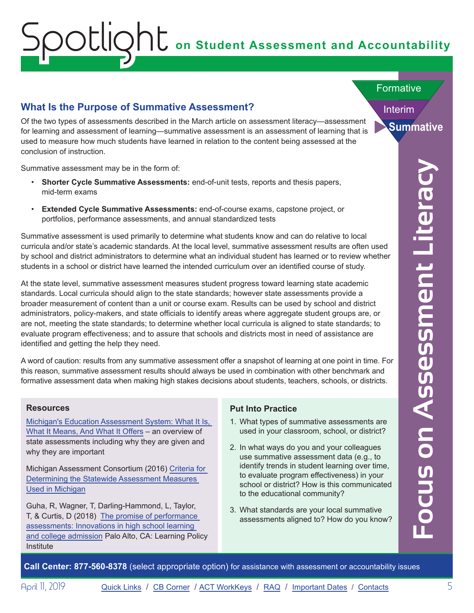## <span id="page-4-0"></span>**What Is the Purpose of Summative Assessment?**

Of the two types of assessments described in the March article on assessment literacy—assessment for learning and assessment of learning—summative assessment is an assessment of learning that is used to measure how much students have learned in relation to the content being assessed at the conclusion of instruction.

Summative assessment may be in the form of:

- **Shorter Cycle Summative Assessments:** end-of-unit tests, reports and thesis papers, mid-term exams
- **Extended Cycle Summative Assessments:** end-of-course exams, capstone project, or portfolios, performance assessments, and annual standardized tests

Summative assessment is used primarily to determine what students know and can do relative to local curricula and/or state's academic standards. At the local level, summative assessment results are often used by school and district administrators to determine what an individual student has learned or to review whether students in a school or district have learned the intended curriculum over an identified course of study.

**Call Center Cycles Summative assessment may be in the form of:**<br>
Shorter Cycles Summative Assessments: end-of-dousse carms, cgation or poles, or accountability to determine what studients have a cristing to control or acc At the state level, summative assessment measures student progress toward learning state academic standards. Local curricula should align to the state standards; however state assessments provide a broader measurement of content than a unit or course exam. Results can be used by school and district administrators, policy-makers, and state officials to identify areas where aggregate student groups are, or are not, meeting the state standards; to determine whether local curricula is aligned to state standards; to evaluate program effectiveness; and to assure that schools and districts most in need of assistance are identified and getting the help they need.

A word of caution: results from any summative assessment offer a snapshot of learning at one point in time. For this reason, summative assessment results should always be used in combination with other benchmark and formative assessment data when making high stakes decisions about students, teachers, schools, or districts.

### **Resources**

[Michigan's Education Assessment System: What It Is,](https://www.michigan.gov/documents/mde/2017_MDE_Assessment_System_What_it_is_flyer_663445_7.pdf)  [What It Means, And What It Offers](https://www.michigan.gov/documents/mde/2017_MDE_Assessment_System_What_it_is_flyer_663445_7.pdf) – an overview of state assessments including why they are given and why they are important

Michigan Assessment Consortium (2016) [Criteria for](http://www.michiganassessmentconsortium.org/wp-content/uploads/CriteriaForDeterminingTheStatewideAssessmentMeasuresUsedInMichigan-April18-2016.pdf)  [Determining the Statewide Assessment Measures](http://www.michiganassessmentconsortium.org/wp-content/uploads/CriteriaForDeterminingTheStatewideAssessmentMeasuresUsedInMichigan-April18-2016.pdf)  [Used in Michigan](http://www.michiganassessmentconsortium.org/wp-content/uploads/CriteriaForDeterminingTheStatewideAssessmentMeasuresUsedInMichigan-April18-2016.pdf)

Guha, R, Wagner, T, Darling-Hammond, L, Taylor, T, & Curtis, D (2018) [The promise of performance](https://learningpolicyinstitute.org/product/promise-performance-assessments-report)  [assessments: Innovations in high school learning](https://learningpolicyinstitute.org/product/promise-performance-assessments-report)  [and college admission](https://learningpolicyinstitute.org/product/promise-performance-assessments-report) Palo Alto, CA: Learning Policy **Institute** 

## **Put Into Practice**

- 1. What types of summative assessments are used in your classroom, school, or district?
- 2. In what ways do you and your colleagues use summative assessment data (e.g., to identify trends in student learning over time, to evaluate program effectiveness) in your school or district? How is this communicated to the educational community?
- 3. What standards are your local summative assessments aligned to? How do you know?

Interim

**Summative**

**Formative**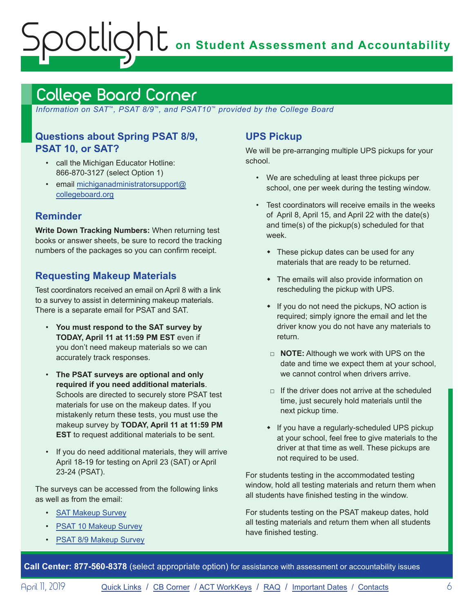## <span id="page-5-1"></span><span id="page-5-0"></span>College Board Corner

 *Information on SAT*™*, PSAT 8/9*™*, and PSAT10*™ *provided by the College Board*

## **Questions about Spring PSAT 8/9, PSAT 10, or SAT?**

- call the Michigan Educator Hotline: 866-870-3127 (select Option 1)
- email [michiganadministratorsupport@](mailto:michiganadministratorsupport%40collegeboard.org?subject=) [collegeboard.org](mailto:michiganadministratorsupport%40collegeboard.org?subject=)

## **Reminder**

**Write Down Tracking Numbers:** When returning test books or answer sheets, be sure to record the tracking numbers of the packages so you can confirm receipt.

## **Requesting Makeup Materials**

Test coordinators received an email on April 8 with a link to a survey to assist in determining makeup materials. There is a separate email for PSAT and SAT.

- **You must respond to the SAT survey by TODAY, April 11 at 11:59 PM EST** even if you don't need makeup materials so we can accurately track responses.
- **The PSAT surveys are optional and only required if you need additional materials**. Schools are directed to securely store PSAT test materials for use on the makeup dates. If you mistakenly return these tests, you must use the makeup survey by **TODAY, April 11 at 11:59 PM EST** to request additional materials to be sent.
- If you do need additional materials, they will arrive April 18-19 for testing on April 23 (SAT) or April 23-24 (PSAT).

The surveys can be accessed from the following links as well as from the email:

- [SAT Makeup Survey](https://www.surveyresearchonline.com/se.ashx?s=7321E7ED35FBD5F4)
- [PSAT 10 Makeup Survey](https://www.surveyresearchonline.com/se.ashx?s=7321E7ED71599E6D)
- [PSAT 8/9 Makeup Survey](https://www.surveyresearchonline.com/se.ashx?s=7321E7ED3AD7A029)

## **UPS Pickup**

We will be pre-arranging multiple UPS pickups for your school.

- We are scheduling at least three pickups per school, one per week during the testing window.
- Test coordinators will receive emails in the weeks of April 8, April 15, and April 22 with the date(s) and time(s) of the pickup(s) scheduled for that week.
	- $\bullet$  These pickup dates can be used for any materials that are ready to be returned.
	- $\bullet$  The emails will also provide information on rescheduling the pickup with UPS.
	- $\cdot$  If you do not need the pickups, NO action is required; simply ignore the email and let the driver know you do not have any materials to return.
	- □ **NOTE:** Although we work with UPS on the date and time we expect them at your school, we cannot control when drivers arrive.
	- $\Box$  If the driver does not arrive at the scheduled time, just securely hold materials until the next pickup time.
	- If you have a regularly-scheduled UPS pickup at your school, feel free to give materials to the driver at that time as well. These pickups are not required to be used.

For students testing in the accommodated testing window, hold all testing materials and return them when all students have finished testing in the window.

For students testing on the PSAT makeup dates, hold all testing materials and return them when all students have finished testing.

**Call Center: 877-560-8378** (select appropriate option) for assistance with assessment or accountability issues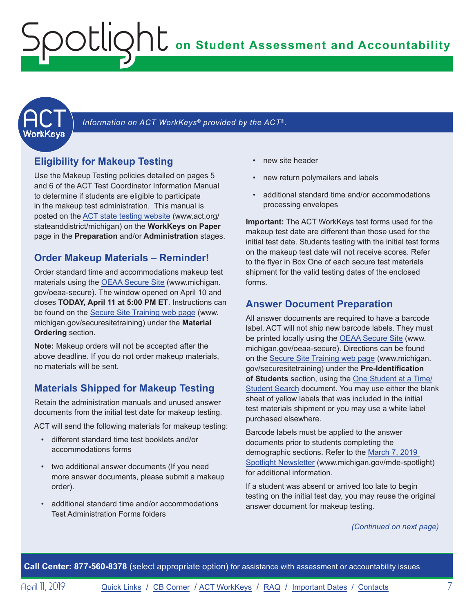<span id="page-6-1"></span><span id="page-6-0"></span>

Information on ACT WorkKeys<sup>®</sup> provided by the ACT®.

## **Eligibility for Makeup Testing**

Use the Makeup Testing policies detailed on pages 5 and 6 of the ACT Test Coordinator Information Manual to determine if students are eligible to participate in the makeup test administration. This manual is posted on the [ACT state testing website](http://www.act.org/stateanddistrict/michigan) (www.act.org/ stateanddistrict/michigan) on the **WorkKeys on Paper**  page in the **Preparation** and/or **Administration** stages.

## **Order Makeup Materials – Reminder!**

Order standard time and accommodations makeup test materials using the [OEAA Secure Site](http://www.michigan.gov/oeaa-secure) (www.michigan. gov/oeaa-secure). The window opened on April 10 and closes **TODAY, April 11 at 5:00 PM ET**. Instructions can be found on the [Secure Site Training web page](http://www.michigan.gov/securesitetraining) (www. michigan.gov/securesitetraining) under the **Material Ordering** section.

**Note:** Makeup orders will not be accepted after the above deadline. If you do not order makeup materials, no materials will be sent.

## **Materials Shipped for Makeup Testing**

Retain the administration manuals and unused answer documents from the initial test date for makeup testing.

ACT will send the following materials for makeup testing:

- different standard time test booklets and/or accommodations forms
- two additional answer documents (If you need more answer documents, please submit a makeup order).
- additional standard time and/or accommodations Test Administration Forms folders
- new site header
- new return polymailers and labels
- additional standard time and/or accommodations processing envelopes

**Important:** The ACT WorkKeys test forms used for the makeup test date are different than those used for the initial test date. Students testing with the initial test forms on the makeup test date will not receive scores. Refer to the flyer in Box One of each secure test materials shipment for the valid testing dates of the enclosed forms.

## **Answer Document Preparation**

All answer documents are required to have a barcode label. ACT will not ship new barcode labels. They must be printed locally using the [OEAA Secure Site](http://www.michigan.gov/oeaa-secure) (www. michigan.gov/oeaa-secure). Directions can be found on the [Secure Site Training web page](http://www.michigan.gov/securesitetraining) (www.michigan. gov/securesitetraining) under the **Pre-Identification of Students** section, using the [One Student at a Time/](https://www.michigan.gov/documents/mde/Student_Search_One_Student_at_a_Time_579416_7.pdf) [Student Search](https://www.michigan.gov/documents/mde/Student_Search_One_Student_at_a_Time_579416_7.pdf) document. You may use either the blank sheet of yellow labels that was included in the initial test materials shipment or you may use a white label purchased elsewhere.

Barcode labels must be applied to the answer documents prior to students completing the demographic sections. Refer to the [March 7, 2019](https://www.michigan.gov/documents/mde/Spotlight_3-7-19_648661_7.pdf)  [Spotlight Newsletter](https://www.michigan.gov/documents/mde/Spotlight_3-7-19_648661_7.pdf) (www.michigan.gov/mde-spotlight) for additional information.

If a student was absent or arrived too late to begin testing on the initial test day, you may reuse the original answer document for makeup testing.

*(Continued on next page)*

**Call Center: 877-560-8378** (select appropriate option) for assistance with assessment or accountability issues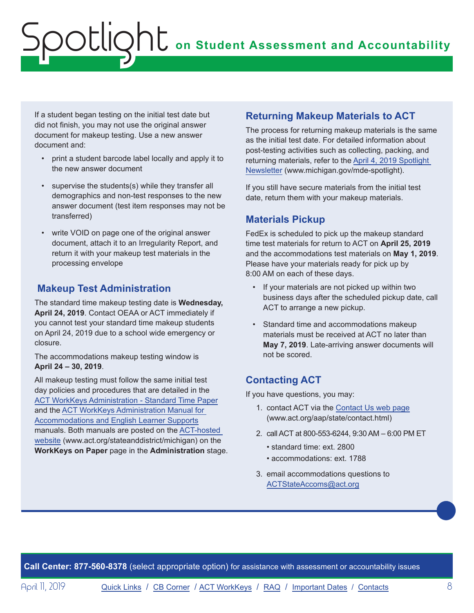If a student began testing on the initial test date but did not finish, you may not use the original answer document for makeup testing. Use a new answer document and:

- print a student barcode label locally and apply it to the new answer document
- supervise the students(s) while they transfer all demographics and non-test responses to the new answer document (test item responses may not be transferred)
- write VOID on page one of the original answer document, attach it to an Irregularity Report, and return it with your makeup test materials in the processing envelope

## **Makeup Test Administration**

The standard time makeup testing date is **Wednesday, April 24, 2019**. Contact OEAA or ACT immediately if you cannot test your standard time makeup students on April 24, 2019 due to a school wide emergency or closure.

The accommodations makeup testing window is **April 24 – 30, 2019**.

All makeup testing must follow the same initial test day policies and procedures that are detailed in the [ACT WorkKeys Administration - Standard Time Paper](http://www.act.org/content/dam/act/secured/documents/pdfs/WK-Admin-SD-Std-Time-Paper-Secured.pdf) and the [ACT WorkKeys Administration Manual for](http://www.act.org/content/dam/act/secured/documents/pdfs/WK-Admin-SD-Accoms-Secured.pdf)  [Accommodations and English Learner Supports](http://www.act.org/content/dam/act/secured/documents/pdfs/WK-Admin-SD-Accoms-Secured.pdf) manuals. Both manuals are posted on the [ACT-hosted](http://www.act.org/stateanddistrict/michigan)  [website](http://www.act.org/stateanddistrict/michigan) (www.act.org/stateanddistrict/michigan) on the **WorkKeys on Paper** page in the **Administration** stage.

## **Returning Makeup Materials to ACT**

The process for returning makeup materials is the same as the initial test date. For detailed information about post-testing activities such as collecting, packing, and returning materials, refer to the [April 4, 2019 Spotlight](https://www.michigan.gov/documents/mde/Spotlight_4-4-19_651703_7.pdf)  [Newsletter](https://www.michigan.gov/documents/mde/Spotlight_4-4-19_651703_7.pdf) (www.michigan.gov/mde-spotlight).

If you still have secure materials from the initial test date, return them with your makeup materials.

## **Materials Pickup**

FedEx is scheduled to pick up the makeup standard time test materials for return to ACT on **April 25, 2019** and the accommodations test materials on **May 1, 2019**. Please have your materials ready for pick up by 8:00 AM on each of these days.

- If your materials are not picked up within two business days after the scheduled pickup date, call ACT to arrange a new pickup.
- Standard time and accommodations makeup materials must be received at ACT no later than **May 7, 2019**. Late-arriving answer documents will not be scored.

## **Contacting ACT**

If you have questions, you may:

- 1. contact ACT via the [Contact Us web page](http://www.act.org/aap/state/contact.html) ([www.act.org/aap/state/contact.html\)](www.act.org/aap/state/contact.html)
- 2. call ACT at 800-553-6244, 9:30 AM 6:00 PM ET
	- standard time: ext. 2800
	- accommodations: ext. 1788
- 3. email accommodations questions to [ACTStateAccoms@act.org](mailto:ACTStateAccoms%40act.org?subject=)

**Call Center: 877-560-8378** (select appropriate option) for assistance with assessment or accountability issues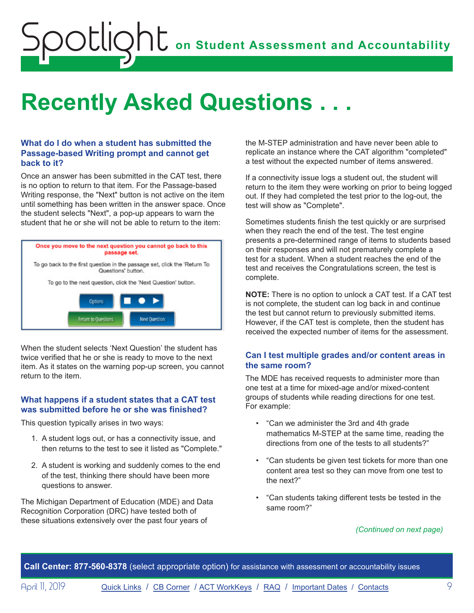## <span id="page-8-0"></span>**Recently Asked Questions . . .**

### **What do I do when a student has submitted the Passage-based Writing prompt and cannot get back to it?**

Once an answer has been submitted in the CAT test, there is no option to return to that item. For the Passage-based Writing response, the "Next" button is not active on the item until something has been written in the answer space. Once the student selects "Next", a pop-up appears to warn the student that he or she will not be able to return to the item:



When the student selects 'Next Question' the student has twice verified that he or she is ready to move to the next item. As it states on the warning pop-up screen, you cannot return to the item.

### **What happens if a student states that a CAT test was submitted before he or she was finished?**

This question typically arises in two ways:

- 1. A student logs out, or has a connectivity issue, and then returns to the test to see it listed as "Complete."
- 2. A student is working and suddenly comes to the end of the test, thinking there should have been more questions to answer.

The Michigan Department of Education (MDE) and Data Recognition Corporation (DRC) have tested both of these situations extensively over the past four years of

the M-STEP administration and have never been able to replicate an instance where the CAT algorithm "completed" a test without the expected number of items answered.

If a connectivity issue logs a student out, the student will return to the item they were working on prior to being logged out. If they had completed the test prior to the log-out, the test will show as "Complete".

Sometimes students finish the test quickly or are surprised when they reach the end of the test. The test engine presents a pre-determined range of items to students based on their responses and will not prematurely complete a test for a student. When a student reaches the end of the test and receives the Congratulations screen, the test is complete.

**NOTE:** There is no option to unlock a CAT test. If a CAT test is not complete, the student can log back in and continue the test but cannot return to previously submitted items. However, if the CAT test is complete, then the student has received the expected number of items for the assessment.

## **Can I test multiple grades and/or content areas in the same room?**

The MDE has received requests to administer more than one test at a time for mixed-age and/or mixed-content groups of students while reading directions for one test. For example:

- "Can we administer the 3rd and 4th grade mathematics M-STEP at the same time, reading the directions from one of the tests to all students?"
- "Can students be given test tickets for more than one content area test so they can move from one test to the next?"
- "Can students taking different tests be tested in the same room?"

### *(Continued on next page)*

**Call Center: 877-560-8378** (select appropriate option) for assistance with assessment or accountability issues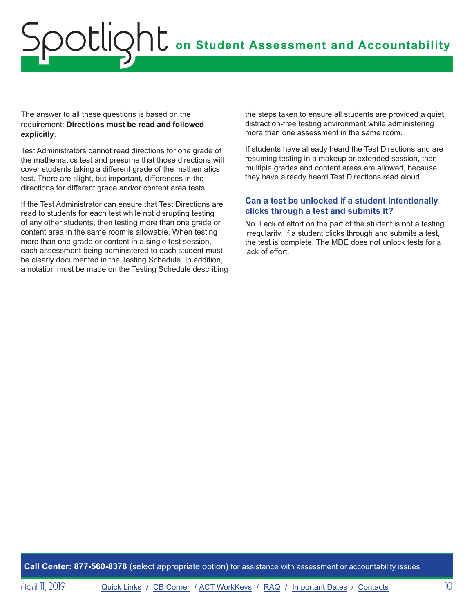The answer to all these questions is based on the requirement: **Directions must be read and followed explicitly**.

Test Administrators cannot read directions for one grade of the mathematics test and presume that those directions will cover students taking a different grade of the mathematics test. There are slight, but important, differences in the directions for different grade and/or content area tests.

If the Test Administrator can ensure that Test Directions are read to students for each test while not disrupting testing of any other students, then testing more than one grade or content area in the same room is allowable. When testing more than one grade or content in a single test session, each assessment being administered to each student must be clearly documented in the Testing Schedule. In addition, a notation must be made on the Testing Schedule describing the steps taken to ensure all students are provided a quiet, distraction-free testing environment while administering more than one assessment in the same room.

If students have already heard the Test Directions and are resuming testing in a makeup or extended session, then multiple grades and content areas are allowed, because they have already heard Test Directions read aloud.

### **Can a test be unlocked if a student intentionally clicks through a test and submits it?**

No. Lack of effort on the part of the student is not a testing irregularity. If a student clicks through and submits a test, the test is complete. The MDE does not unlock tests for a lack of effort.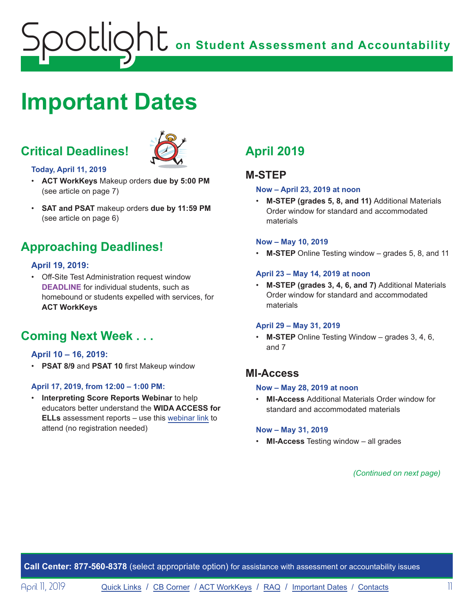## <span id="page-10-1"></span><span id="page-10-0"></span>**Important Dates**

## **Critical Deadlines!**



#### **Today, April 11, 2019**

- **ACT WorkKeys** Makeup orders **due by 5:00 PM** (see article on page 7)
- **SAT and PSAT** makeup orders **due by 11:59 PM** (see article on page 6)

## **Approaching Deadlines!**

### **April 19, 2019:**

• Off-Site Test Administration request window **DEADLINE** for individual students, such as homebound or students expelled with services, for **ACT WorkKeys**

## **Coming Next Week . . .**

#### **April 10 – 16, 2019:**

• **PSAT 8/9** and **PSAT 10** first Makeup window

#### **April 17, 2019, from 12:00 – 1:00 PM:**

• **Interpreting Score Reports Webinar** to help educators better understand the **WIDA ACCESS for ELLs** assessment reports – use this webinar link to attend (no registration needed)

## **April 2019**

## **M-STEP**

#### **Now – April 23, 2019 at noon**

• **M-STEP (grades 5, 8, and 11)** Additional Materials Order window for standard and accommodated materials

#### **Now – May 10, 2019**

• **M-STEP** Online Testing window – grades 5, 8, and 11

#### **April 23 – May 14, 2019 at noon**

• **M-STEP (grades 3, 4, 6, and 7)** Additional Materials Order window for standard and accommodated materials

#### **April 29 – May 31, 2019**

• **M-STEP** Online Testing Window – grades 3, 4, 6, and 7

## **MI-Access**

### **Now – May 28, 2019 at noon**

• **MI-Access** Additional Materials Order window for standard and accommodated materials

#### **Now – May 31, 2019**

• **MI-Access** Testing window – all grades

*(Continued on next page)*

**Call Center: 877-560-8378** (select appropriate option) for assistance with assessment or accountability issues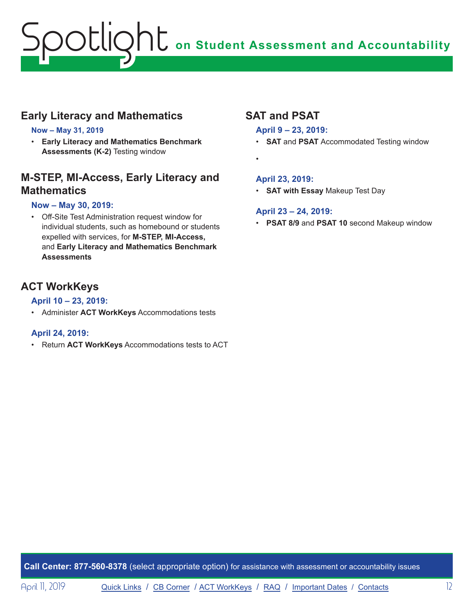## **Early Literacy and Mathematics**

### **Now – May 31, 2019**

• **Early Literacy and Mathematics Benchmark Assessments (K-2)** Testing window

## **M-STEP, MI-Access, Early Literacy and Mathematics**

### **Now – May 30, 2019:**

• Off-Site Test Administration request window for individual students, such as homebound or students expelled with services, for **M-STEP, MI-Access,**  and **Early Literacy and Mathematics Benchmark Assessments**

## **ACT WorkKeys**

### **April 10 – 23, 2019:**

• Administer **ACT WorkKeys** Accommodations tests

### **April 24, 2019:**

• Return **ACT WorkKeys** Accommodations tests to ACT

## **SAT and PSAT**

### **April 9 – 23, 2019:**

- **SAT** and **PSAT** Accommodated Testing window
- •

### **April 23, 2019:**

• **SAT with Essay** Makeup Test Day

## **April 23 – 24, 2019:**

• **PSAT 8/9** and **PSAT 10** second Makeup window